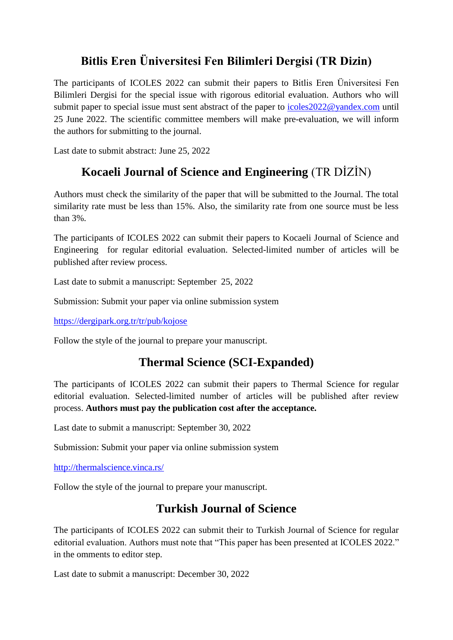# **Bitlis Eren Üniversitesi Fen Bilimleri Dergisi (TR Dizin)**

The participants of ICOLES 2022 can submit their papers to Bitlis Eren Üniversitesi Fen Bilimleri Dergisi for the special issue with rigorous editorial evaluation. Authors who will submit paper to special issue must sent abstract of the paper to icoles 2022@yandex.com until 25 June 2022. The scientific committee members will make pre-evaluation, we will inform the authors for submitting to the journal.

Last date to submit abstract: June 25, 2022

## **[Kocaeli Journal of Science and Engineering](https://dergipark.org.tr/tr/pub/kojose)** (TR DİZİN)

Authors must check the similarity of the paper that will be submitted to the Journal. The total similarity rate must be less than 15%. Also, the similarity rate from one source must be less than 3%.

The participants of ICOLES 2022 can submit their papers to Kocaeli Journal of Science and Engineering for regular editorial evaluation. Selected-limited number of articles will be published after review process.

Last date to submit a manuscript: September 25, 2022

Submission: Submit your paper via online submission system

<https://dergipark.org.tr/tr/pub/kojose>

Follow the style of the journal to prepare your manuscript.

## **[Thermal Science](http://thermalscience.vinca.rs/) (SCI-Expanded)**

The participants of ICOLES 2022 can submit their papers to Thermal Science for regular editorial evaluation. Selected-limited number of articles will be published after review process. **Authors must pay the publication cost after the acceptance.**

Last date to submit a manuscript: September 30, 2022

Submission: Submit your paper via online submission system

<http://thermalscience.vinca.rs/>

Follow the style of the journal to prepare your manuscript.

### **Turkish Journal of Science**

The participants of ICOLES 2022 can submit their to Turkish Journal of Science for regular editorial evaluation. Authors must note that "This paper has been presented at ICOLES 2022." in the omments to editor step.

Last date to submit a manuscript: December 30, 2022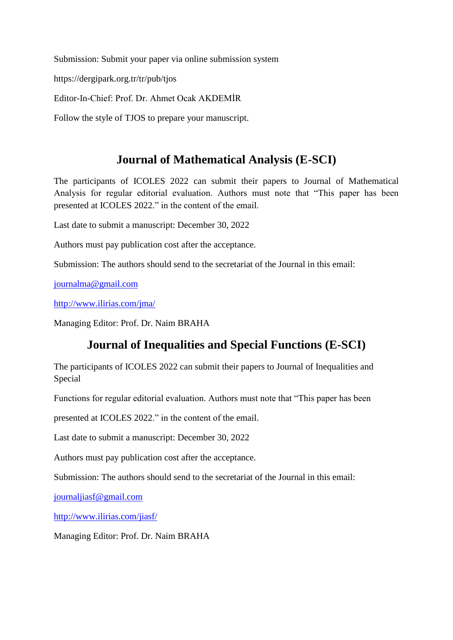Submission: Submit your paper via online submission system

https://dergipark.org.tr/tr/pub/tjos

Editor-In-Chief: Prof. Dr. Ahmet Ocak AKDEMİR

Follow the style of TJOS to prepare your manuscript.

#### **Journal of Mathematical Analysis (E-SCI)**

The participants of ICOLES 2022 can submit their papers to Journal of Mathematical Analysis for regular editorial evaluation. Authors must note that "This paper has been presented at ICOLES 2022." in the content of the email.

Last date to submit a manuscript: December 30, 2022

Authors must pay publication cost after the acceptance.

Submission: The authors should send to the secretariat of the Journal in this email:

[journalma@gmail.com](mailto:journalma@gmail.com)

<http://www.ilirias.com/jma/>

Managing Editor: Prof. Dr. Naim BRAHA

### **Journal of Inequalities and Special Functions (E-SCI)**

The participants of ICOLES 2022 can submit their papers to Journal of Inequalities and Special

Functions for regular editorial evaluation. Authors must note that "This paper has been

presented at ICOLES 2022." in the content of the email.

Last date to submit a manuscript: December 30, 2022

Authors must pay publication cost after the acceptance.

Submission: The authors should send to the secretariat of the Journal in this email:

[journaljiasf@gmail.com](mailto:journaljiasf@gmail.com)

<http://www.ilirias.com/jiasf/>

Managing Editor: Prof. Dr. Naim BRAHA